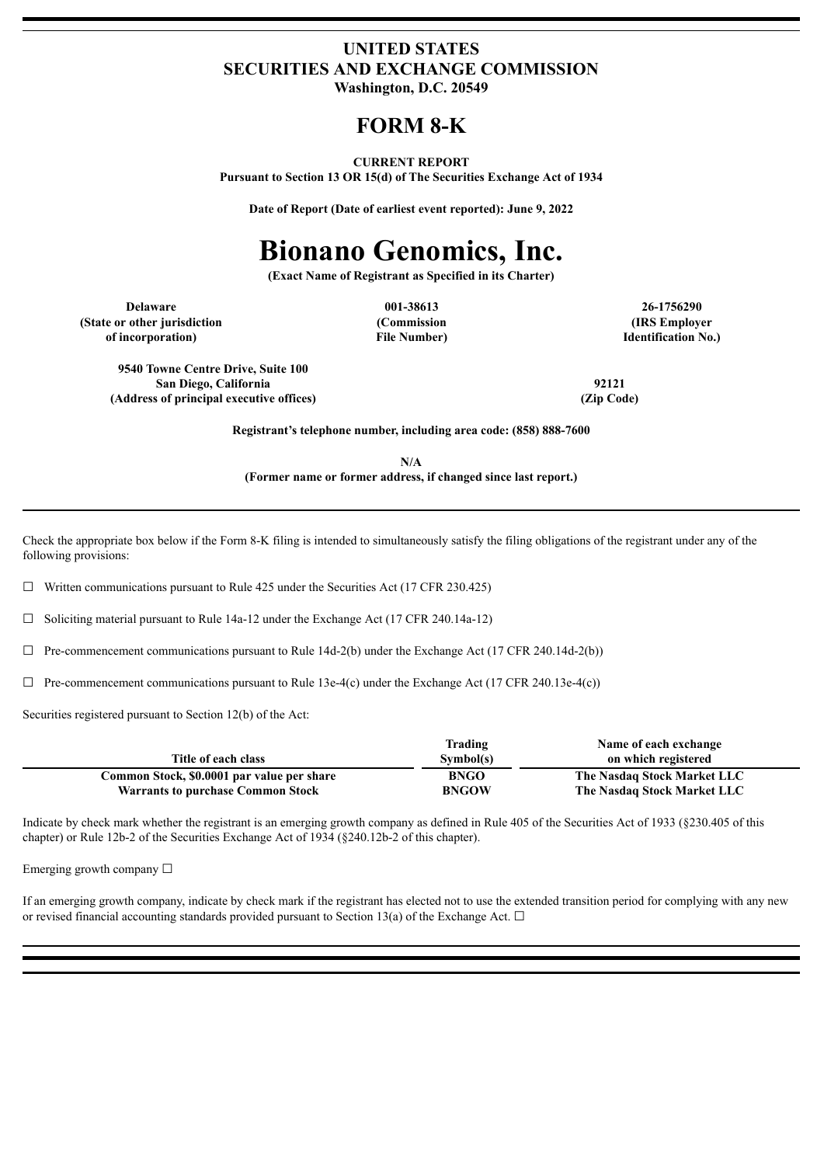## **UNITED STATES SECURITIES AND EXCHANGE COMMISSION Washington, D.C. 20549**

# **FORM 8-K**

#### **CURRENT REPORT**

**Pursuant to Section 13 OR 15(d) of The Securities Exchange Act of 1934**

**Date of Report (Date of earliest event reported): June 9, 2022**

# **Bionano Genomics, Inc.**

**(Exact Name of Registrant as Specified in its Charter)**

**Delaware 001-38613 26-1756290 (State or other jurisdiction of incorporation)**

**(Commission File Number)**

**(IRS Employer Identification No.)**

**9540 Towne Centre Drive, Suite 100 San Diego, California 92121 (Address of principal executive offices) (Zip Code)**

**Registrant's telephone number, including area code: (858) 888-7600**

**N/A (Former name or former address, if changed since last report.)**

Check the appropriate box below if the Form 8-K filing is intended to simultaneously satisfy the filing obligations of the registrant under any of the following provisions:

 $\Box$  Written communications pursuant to Rule 425 under the Securities Act (17 CFR 230.425)

☐ Soliciting material pursuant to Rule 14a-12 under the Exchange Act (17 CFR 240.14a-12)

 $\Box$  Pre-commencement communications pursuant to Rule 14d-2(b) under the Exchange Act (17 CFR 240.14d-2(b))

 $\Box$  Pre-commencement communications pursuant to Rule 13e-4(c) under the Exchange Act (17 CFR 240.13e-4(c))

Securities registered pursuant to Section 12(b) of the Act:

|                                            | Trading      | Name of each exchange       |
|--------------------------------------------|--------------|-----------------------------|
| Title of each class                        | Sumbol(s)    | on which registered         |
| Common Stock, \$0.0001 par value per share | <b>BNGO</b>  | The Nasdaq Stock Market LLC |
| <b>Warrants to purchase Common Stock</b>   | <b>BNGOW</b> | The Nasdaq Stock Market LLC |

Indicate by check mark whether the registrant is an emerging growth company as defined in Rule 405 of the Securities Act of 1933 (§230.405 of this chapter) or Rule 12b-2 of the Securities Exchange Act of 1934 (§240.12b-2 of this chapter).

Emerging growth company  $\Box$ 

If an emerging growth company, indicate by check mark if the registrant has elected not to use the extended transition period for complying with any new or revised financial accounting standards provided pursuant to Section 13(a) of the Exchange Act.  $\Box$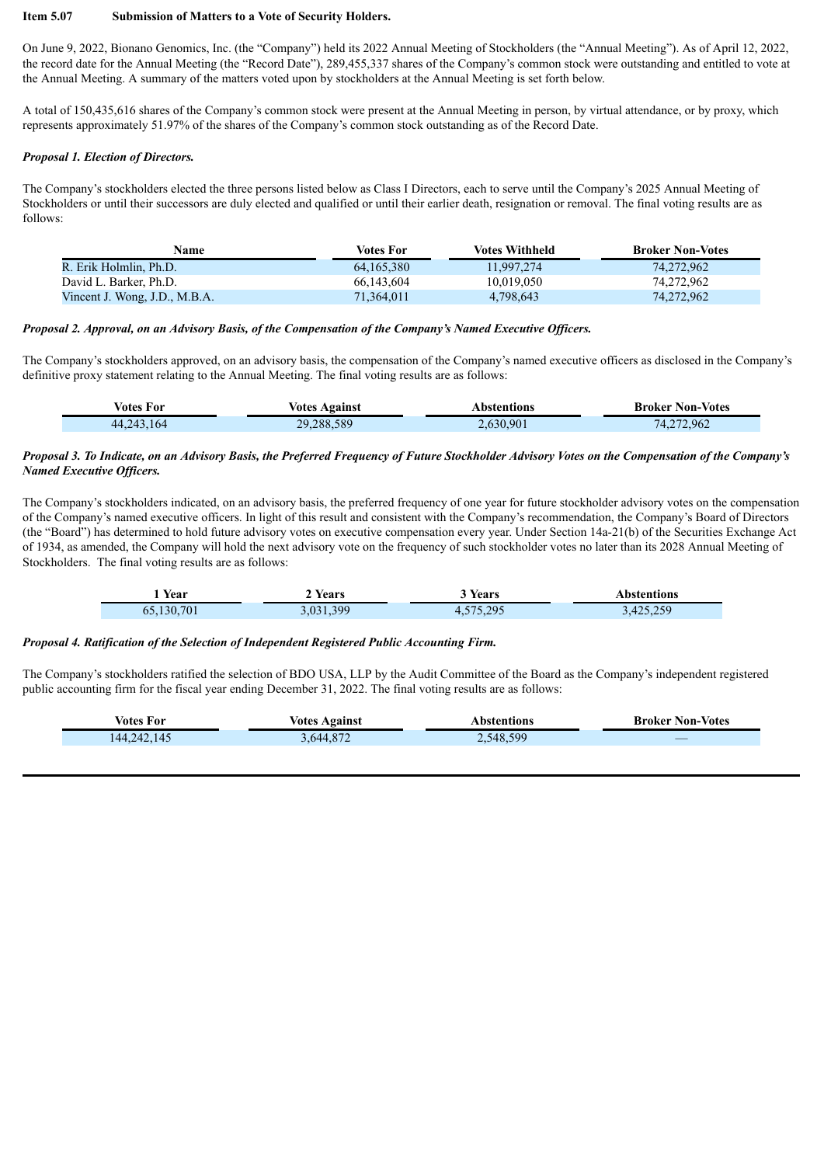#### **Item 5.07 Submission of Matters to a Vote of Security Holders.**

On June 9, 2022, Bionano Genomics, Inc. (the "Company") held its 2022 Annual Meeting of Stockholders (the "Annual Meeting"). As of April 12, 2022, the record date for the Annual Meeting (the "Record Date"), 289,455,337 shares of the Company's common stock were outstanding and entitled to vote at the Annual Meeting. A summary of the matters voted upon by stockholders at the Annual Meeting is set forth below.

A total of 150,435,616 shares of the Company's common stock were present at the Annual Meeting in person, by virtual attendance, or by proxy, which represents approximately 51.97% of the shares of the Company's common stock outstanding as of the Record Date.

#### *Proposal 1. Election of Directors.*

Г

The Company's stockholders elected the three persons listed below as Class I Directors, each to serve until the Company's 2025 Annual Meeting of Stockholders or until their successors are duly elected and qualified or until their earlier death, resignation or removal. The final voting results are as follows:

| Name                          | Votes For  | <b>Votes Withheld</b> | <b>Broker Non-Votes</b> |
|-------------------------------|------------|-----------------------|-------------------------|
| R. Erik Holmlin, Ph.D.        | 64.165.380 | 11.997.274            | 74.272.962              |
| David L. Barker, Ph.D.        | 66.143.604 | 10.019.050            | 74.272.962              |
| Vincent J. Wong, J.D., M.B.A. | 71.364.011 | 4,798,643             | 74.272.962              |

#### Proposal 2. Approval, on an Advisory Basis, of the Compensation of the Company's Named Executive Officers.

The Company's stockholders approved, on an advisory basis, the compensation of the Company's named executive officers as disclosed in the Company's definitive proxy statement relating to the Annual Meeting. The final voting results are as follows:

| Votes For    | <b>Votes Against</b> | Abstentions | <b>Broker Non-Votes</b> |
|--------------|----------------------|-------------|-------------------------|
| 44, 243, 164 | 29,288,589           | 2,630,901   | 74,272,962              |

#### Proposal 3. To Indicate, on an Advisory Basis, the Preferred Frequency of Future Stockholder Advisory Votes on the Compensation of the Company's *Named Executive Of icers.*

The Company's stockholders indicated, on an advisory basis, the preferred frequency of one year for future stockholder advisory votes on the compensation of the Company's named executive officers. In light of this result and consistent with the Company's recommendation, the Company's Board of Directors (the "Board") has determined to hold future advisory votes on executive compensation every year. Under Section 14a-21(b) of the Securities Exchange Act of 1934, as amended, the Company will hold the next advisory vote on the frequency of such stockholder votes no later than its 2028 Annual Meeting of Stockholders. The final voting results are as follows:

| Year       | Years     | Years     | Abstentions |
|------------|-----------|-----------|-------------|
| 65,130,701 | 3,031,399 | 4,575,295 | 3,425,259   |

#### *Proposal 4. Ratification of the Selection of Independent Registered Public Accounting Firm.*

The Company's stockholders ratified the selection of BDO USA, LLP by the Audit Committee of the Board as the Company's independent registered public accounting firm for the fiscal year ending December 31, 2022. The final voting results are as follows:

| <b>Votes For</b> | <b>Votes Against</b> | Abstentions | <b>Broker Non-Votes</b> |
|------------------|----------------------|-------------|-------------------------|
| 144, 242, 145    | 3,644,872            | 2,548,599   |                         |